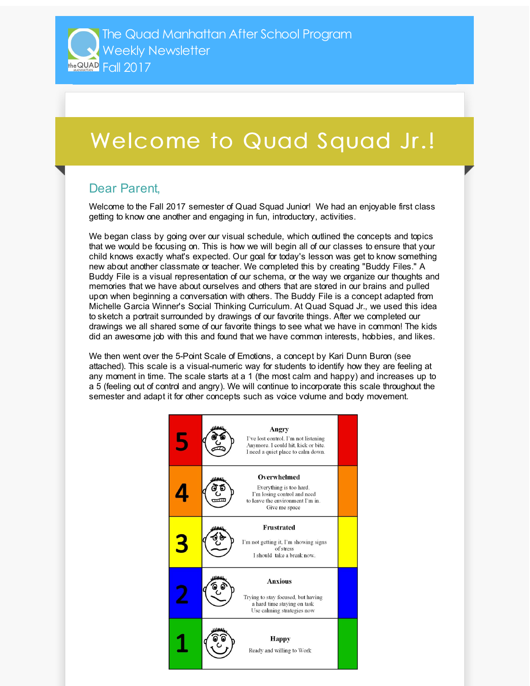## Welcome to Quad Squad Jr.!

## Dear Parent,

Welcome to the Fall 2017 semester of Quad Squad Junior! We had an enjoyable first class getting to know one another and engaging in fun, introductory, activities.

We began class by going over our visual schedule, which outlined the concepts and topics that we would be focusing on. This is how we will begin all of our classes to ensure that your child knows exactly what's expected. Our goal for today's lesson was get to know something new about another classmate or teacher. We completed this by creating "Buddy Files." A Buddy File is a visual representation of our schema, or the way we organize our thoughts and memories that we have about ourselves and others that are stored in our brains and pulled upon when beginning a conversation with others. The Buddy File is a concept adapted from Michelle Garcia Winner's Social Thinking Curriculum. At Quad Squad Jr., we used this idea to sketch a portrait surrounded by drawings of our favorite things. After we completed our drawings we all shared some of our favorite things to see what we have in common! The kids did an awesome job with this and found that we have common interests, hobbies, and likes.

We then went over the 5-Point Scale of Emotions, a concept by Kari Dunn Buron (see attached). This scale is a visual-numeric way for students to identify how they are feeling at any moment in time. The scale starts at a 1 (the most calm and happy) and increases up to a 5 (feeling out of control and angry). We will continue to incorporate this scale throughout the semester and adapt it for other concepts such as voice volume and body movement.